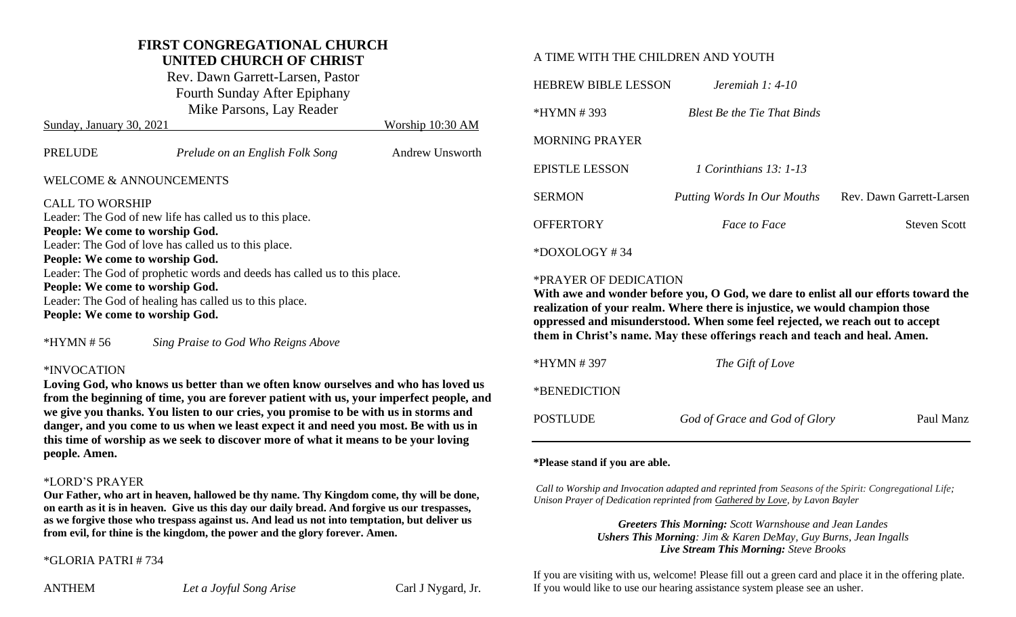## **FIRST CONGREGATIONAL CHURCH**

**UNITED CHURCH OF CHRIST**

Rev. Dawn Garrett-Larsen, Pastor Fourth Sunday After Epiphany Mike Parsons, Lay Reader

| Sunday, January 30, 2021                                                                                                                                                      |                                 | Worship 10:30 AM |  |  |  |
|-------------------------------------------------------------------------------------------------------------------------------------------------------------------------------|---------------------------------|------------------|--|--|--|
| <b>PRELUDE</b>                                                                                                                                                                | Prelude on an English Folk Song | Andrew Unsworth  |  |  |  |
| WELCOME & ANNOUNCEMENTS                                                                                                                                                       |                                 |                  |  |  |  |
| <b>CALL TO WORSHIP</b><br>Leader: The God of new life has called us to this place.<br>People: We come to worship God.<br>Leader: The God of love has called us to this place. |                                 |                  |  |  |  |
| People: We come to worship God.                                                                                                                                               |                                 |                  |  |  |  |
| Leader: The God of prophetic words and deeds has called us to this place.                                                                                                     |                                 |                  |  |  |  |
| People: We come to worship God.                                                                                                                                               |                                 |                  |  |  |  |
| Leader: The God of healing has called us to this place.                                                                                                                       |                                 |                  |  |  |  |
| People: We come to worship God.                                                                                                                                               |                                 |                  |  |  |  |

\*HYMN # 56 *Sing Praise to God Who Reigns Above*

#### \*INVOCATION

**Loving God, who knows us better than we often know ourselves and who has loved us from the beginning of time, you are forever patient with us, your imperfect people, and we give you thanks. You listen to our cries, you promise to be with us in storms and danger, and you come to us when we least expect it and need you most. Be with us in this time of worship as we seek to discover more of what it means to be your loving people. Amen.**

#### \*LORD'S PRAYER

**Our Father, who art in heaven, hallowed be thy name. Thy Kingdom come, thy will be done, on earth as it is in heaven. Give us this day our daily bread. And forgive us our trespasses, as we forgive those who trespass against us. And lead us not into temptation, but deliver us from evil, for thine is the kingdom, the power and the glory forever. Amen.**

#### \*GLORIA PATRI # 734

#### A TIME WITH THE CHILDREN AND YOUTH

| <b>HEBREW BIBLE LESSON</b> | Jeremiah 1: $4-10$                 |                          |
|----------------------------|------------------------------------|--------------------------|
| $*HYMN # 393$              | <b>Blest Be the Tie That Binds</b> |                          |
| <b>MORNING PRAYER</b>      |                                    |                          |
| <b>EPISTLE LESSON</b>      | 1 Corinthians 13: 1-13             |                          |
| <b>SERMON</b>              | Putting Words In Our Mouths        | Rev. Dawn Garrett-Larsen |
| <b>OFFERTORY</b>           | <i>Face to Face</i>                | <b>Steven Scott</b>      |
| $*$ DOXOLOGY#34            |                                    |                          |

#### \*PRAYER OF DEDICATION

**With awe and wonder before you, O God, we dare to enlist all our efforts toward the realization of your realm. Where there is injustice, we would champion those oppressed and misunderstood. When some feel rejected, we reach out to accept them in Christ's name. May these offerings reach and teach and heal. Amen.** 

| *HYMN # 397  | The Gift of Love              |           |
|--------------|-------------------------------|-----------|
| *BENEDICTION |                               |           |
| POSTLUDE     | God of Grace and God of Glory | Paul Manz |

#### **\*Please stand if you are able.**

*Call to Worship and Invocation adapted and reprinted from Seasons of the Spirit: Congregational Life; Unison Prayer of Dedication reprinted from Gathered by Love, by Lavon Bayler*

> *Greeters This Morning: Scott Warnshouse and Jean Landes Ushers This Morning: Jim & Karen DeMay, Guy Burns, Jean Ingalls Live Stream This Morning: Steve Brooks*

If you are visiting with us, welcome! Please fill out a green card and place it in the offering plate. If you would like to use our hearing assistance system please see an usher.